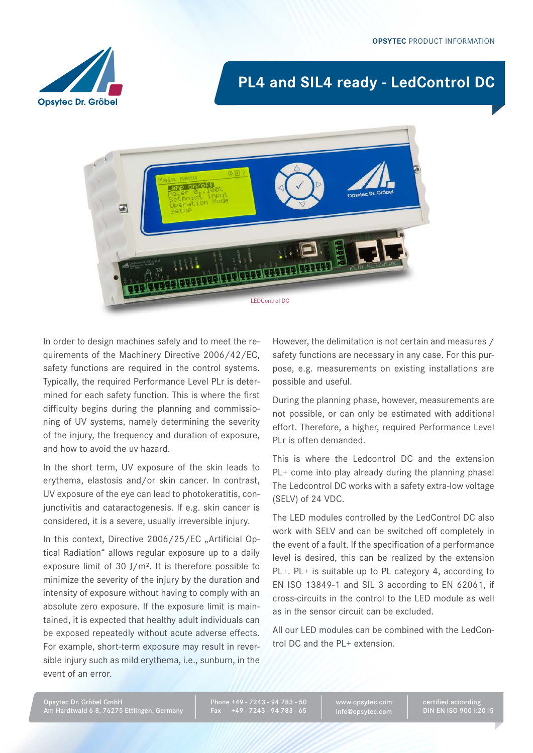

# **PL4 and SIL4 ready - LedControl DC**



In order to design machines safely and to meet the requirements of the Machinery Directive 2006/42/EC, safety functions are required in the control systems. Typically, the required Performance Level PLr is determined for each safety function. This is where the first difficulty begins during the planning and commissioning of UV systems, namely determining the severity of the injury, the frequency and duration of exposure, and how to avoid the uv hazard.

In the short term, UV exposure of the skin leads to erythema, elastosis and/or skin cancer. In contrast, UV exposure of the eye can lead to photokeratitis, conjunctivitis and cataractogenesis. If e.g. skin cancer is considered, it is a severe, usually irreversible injury.

In this context, Directive 2006/25/EC "Artificial Optical Radiation" allows regular exposure up to a daily exposure limit of 30 J/m². It is therefore possible to minimize the severity of the injury by the duration and intensity of exposure without having to comply with an absolute zero exposure. If the exposure limit is maintained, it is expected that healthy adult individuals can be exposed repeatedly without acute adverse effects. For example, short-term exposure may result in reversible injury such as mild erythema, i.e., sunburn, in the event of an error.

However, the delimitation is not certain and measures / safety functions are necessary in any case. For this purpose, e.g. measurements on existing installations are possible and useful.

During the planning phase, however, measurements are not possible, or can only be estimated with additional effort. Therefore, a higher, required Performance Level PLr is often demanded.

This is where the Ledcontrol DC and the extension PL<sup>+</sup> come into play already during the planning phase! The Ledcontrol DC works with a safety extra-low voltage (SELV) of 24 VDC.

The LED modules controlled by the LedControl DC also work with SELV and can be switched off completely in the event of a fault. If the specification of a performance level is desired, this can be realized by the extension PL+. PL+ is suitable up to PL category 4, according to EN ISO 13849-1 and SIL 3 according to EN 62061, if cross-circuits in the control to the LED module as well as in the sensor circuit can be excluded.

All our LED modules can be combined with the LedControl DC and the PL+ extension.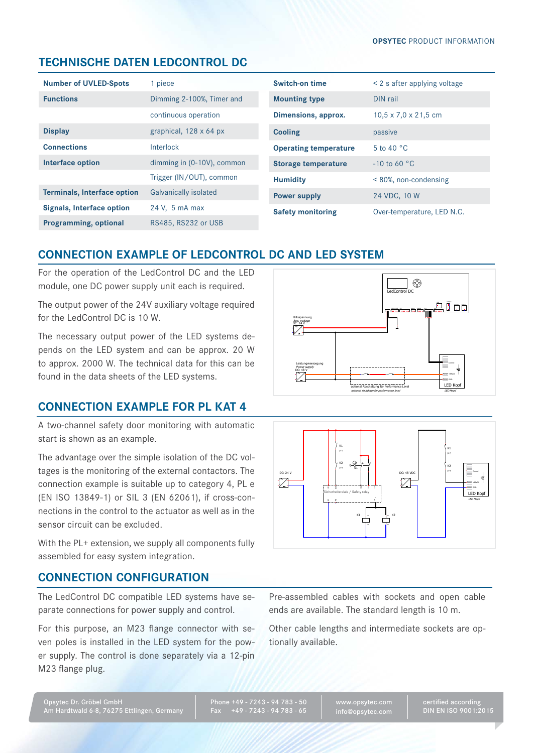## **technische Daten LEDCONTROL DC**

| <b>Number of UVLED-Spots</b>       | 1 piece                      |  |
|------------------------------------|------------------------------|--|
| <b>Functions</b>                   | Dimming 2-100%, Timer and    |  |
|                                    | continuous operation         |  |
| <b>Display</b>                     | graphical, 128 x 64 px       |  |
| <b>Connections</b>                 | Interlock                    |  |
| Interface option                   | dimming in (0-10V), common   |  |
|                                    | Trigger (IN/OUT), common     |  |
| <b>Terminals, Interface option</b> | <b>Galvanically isolated</b> |  |
| Signals, Interface option          | 24 V, 5 mA max               |  |
| <b>Programming, optional</b>       | RS485, RS232 or USB          |  |

| Switch-on time               | $\leq$ 2 s after applying voltage |  |
|------------------------------|-----------------------------------|--|
| <b>Mounting type</b>         | DIN rail                          |  |
| Dimensions, approx.          | $10,5 \times 7,0 \times 21,5$ cm  |  |
| <b>Cooling</b>               | passive                           |  |
| <b>Operating temperature</b> | 5 to 40 $\degree$ C               |  |
| Storage temperature          | $-10$ to 60 °C                    |  |
| <b>Humidity</b>              | $< 80\%$ , non-condensing         |  |
| <b>Power supply</b>          | 24 VDC, 10 W                      |  |
| <b>Safety monitoring</b>     | Over-temperature, LED N.C.        |  |

## **CONNECTION EXAMPLE OF LEDCONTROL DC AND LED SYSTEM**

For the operation of the LedControl DC and the LED module, one DC power supply unit each is required.

The output power of the 24V auxiliary voltage required for the LedControl DC is 10 W.

The necessary output power of the LED systems depends on the LED system and can be approx. 20 W to approx. 2000 W. The technical data for this can be found in the data sheets of the LED systems.

## **Connection example for PL KAT 4**

A two-channel safety door monitoring with automatic start is shown as an example.

The advantage over the simple isolation of the DC voltages is the monitoring of the external contactors. The connection example is suitable up to category 4, PL e (EN ISO 13849-1) or SIL 3 (EN 62061), if cross-connections in the control to the actuator as well as in the sensor circuit can be excluded.

With the PL+ extension, we supply all components fully assembled for easy system integration.

#### **Connection configuration**

The LedControl DC compatible LED systems have separate connections for power supply and control.

For this purpose, an M23 flange connector with seven poles is installed in the LED system for the power supply. The control is done separately via a 12-pin M23 flange plug.





Pre-assembled cables with sockets and open cable ends are available. The standard length is 10 m.

Other cable lengths and intermediate sockets are optionally available.

Phone +49 - 7243 - 94 783 - 50 Fax +49 - 7243 - 94 783 - 65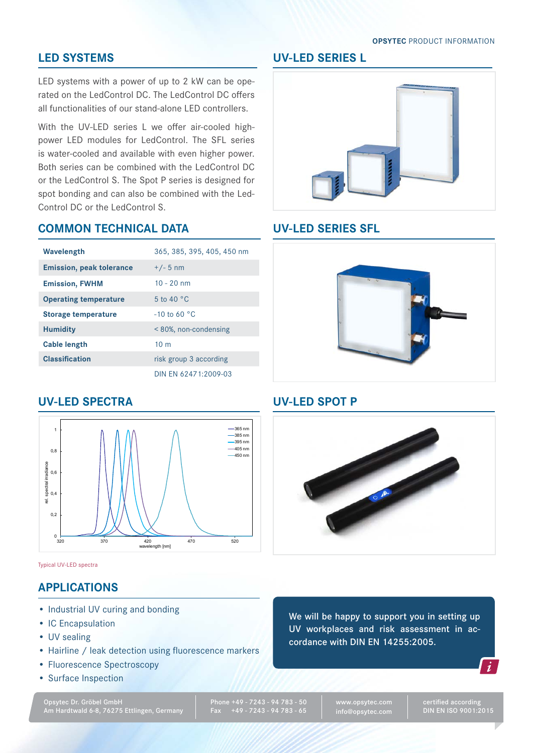#### **Opsytec** Product Information

#### **LED SystemS**

LED systems with a power of up to 2 kW can be operated on the LedControl DC. The LedControl DC offers all functionalities of our stand-alone LED controllers.

With the UV-LED series L we offer air-cooled highpower LED modules for LedControl. The SFL series is water-cooled and available with even higher power. Both series can be combined with the LedControl DC or the LedControl S. The Spot P series is designed for spot bonding and can also be combined with the Led-Control DC or the LedControl S.

#### **Common technical data**

| Wavelength                      | 365, 385, 395, 405, 450 nm |  |
|---------------------------------|----------------------------|--|
| <b>Emission, peak tolerance</b> | $+/- 5$ nm                 |  |
| <b>Emission, FWHM</b>           | $10 - 20$ nm               |  |
| <b>Operating temperature</b>    | 5 to 40 $\degree$ C        |  |
| Storage temperature             | $-10$ to 60 °C             |  |
| <b>Humidity</b>                 | $< 80\%$ , non-condensing  |  |
| <b>Cable length</b>             | 10 <sub>m</sub>            |  |
| <b>Classification</b>           | risk group 3 according     |  |
|                                 | DIN EN 62471:2009-03       |  |

#### **UV-LED SPEcTRA**



Typical UV-LED spectra

### **Applications**

- Industrial UV curing and bonding
- IC Encapsulation
- UV sealing
- Hairline / leak detection using fluorescence markers
- • Fluorescence Spectroscopy
- • Surface Inspection

Opsytec Dr. Gröbel GmbH Am Hardtwald 6-8, 76275 Ettlingen, Germany Phone +49 - 7243 - 94 783 - 50 Fax +49 - 7243 - 94 783 - 65

www.opsytec.com info@opsytec.com

certified according DIN EN ISO 9001:2015



## **UV-LED SerieS SFL**



### **UV-LED SpOT P**



We will be happy to support you in setting up UV workplaces and risk assessment in accordance with DIN EN 14255:2005.